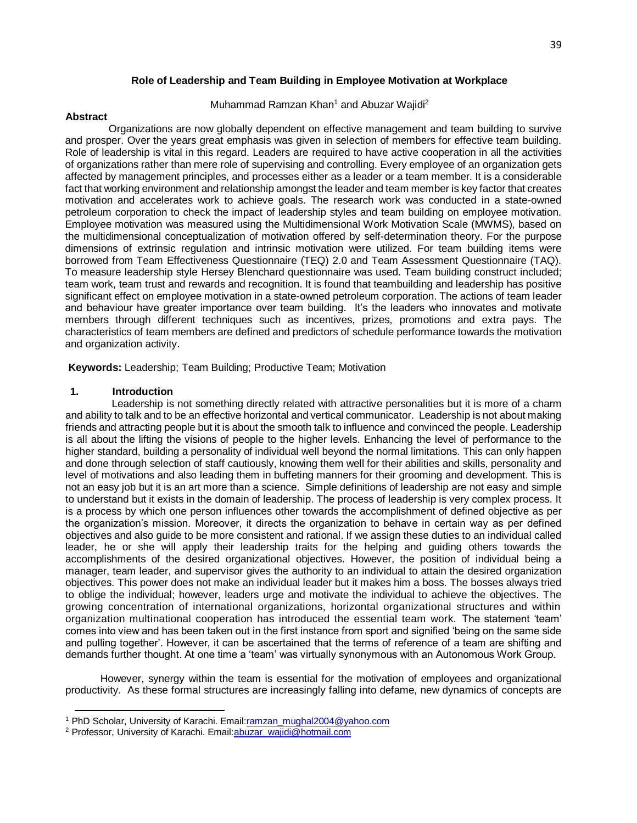# **Role of Leadership and Team Building in Employee Motivation at Workplace**

#### **Abstract**

#### Muhammad Ramzan Khan<sup>1</sup> and Abuzar Waiidi<sup>2</sup>

 Organizations are now globally dependent on effective management and team building to survive and prosper. Over the years great emphasis was given in selection of members for effective team building. Role of leadership is vital in this regard. Leaders are required to have active cooperation in all the activities of organizations rather than mere role of supervising and controlling. Every employee of an organization gets affected by management principles, and processes either as a leader or a team member. It is a considerable fact that working environment and relationship amongst the leader and team member is key factor that creates motivation and accelerates work to achieve goals. The research work was conducted in a state-owned petroleum corporation to check the impact of leadership styles and team building on employee motivation. Employee motivation was measured using the Multidimensional Work Motivation Scale (MWMS), based on the multidimensional conceptualization of motivation offered by self-determination theory. For the purpose dimensions of extrinsic regulation and intrinsic motivation were utilized. For team building items were borrowed from Team Effectiveness Questionnaire (TEQ) 2.0 and Team Assessment Questionnaire (TAQ). To measure leadership style Hersey Blenchard questionnaire was used. Team building construct included; team work, team trust and rewards and recognition. It is found that teambuilding and leadership has positive significant effect on employee motivation in a state-owned petroleum corporation. The actions of team leader and behaviour have greater importance over team building. It's the leaders who innovates and motivate members through different techniques such as incentives, prizes, promotions and extra pays. The characteristics of team members are defined and predictors of schedule performance towards the motivation and organization activity.

**Keywords:** Leadership; Team Building; Productive Team; Motivation

#### **1. Introduction**

 $\overline{\phantom{a}}$ 

 Leadership is not something directly related with attractive personalities but it is more of a charm and ability to talk and to be an effective horizontal and vertical communicator. Leadership is not about making friends and attracting people but it is about the smooth talk to influence and convinced the people. Leadership is all about the lifting the visions of people to the higher levels. Enhancing the level of performance to the higher standard, building a personality of individual well beyond the normal limitations. This can only happen and done through selection of staff cautiously, knowing them well for their abilities and skills, personality and level of motivations and also leading them in buffeting manners for their grooming and development. This is not an easy job but it is an art more than a science. Simple definitions of leadership are not easy and simple to understand but it exists in the domain of leadership. The process of leadership is very complex process. It is a process by which one person influences other towards the accomplishment of defined objective as per the organization's mission. Moreover, it directs the organization to behave in certain way as per defined objectives and also guide to be more consistent and rational. If we assign these duties to an individual called leader, he or she will apply their leadership traits for the helping and guiding others towards the accomplishments of the desired organizational objectives. However, the position of individual being a manager, team leader, and supervisor gives the authority to an individual to attain the desired organization objectives. This power does not make an individual leader but it makes him a boss. The bosses always tried to oblige the individual; however, leaders urge and motivate the individual to achieve the objectives. The growing concentration of international organizations, horizontal organizational structures and within organization multinational cooperation has introduced the essential team work. The statement 'team' comes into view and has been taken out in the first instance from sport and signified 'being on the same side and pulling together'. However, it can be ascertained that the terms of reference of a team are shifting and demands further thought. At one time a 'team' was virtually synonymous with an Autonomous Work Group.

 However, synergy within the team is essential for the motivation of employees and organizational productivity. As these formal structures are increasingly falling into defame, new dynamics of concepts are

<sup>&</sup>lt;sup>1</sup> PhD Scholar, University of Karachi. Email:ramzan\_mughal2004@yahoo.com

<sup>2</sup> Professor, University of Karachi. Email:abuzar\_wajidi@hotmail.com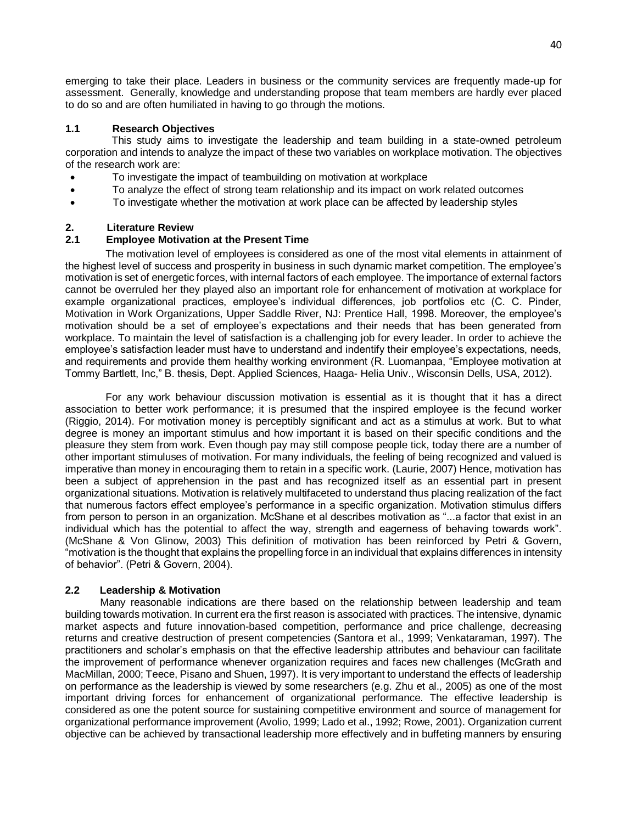emerging to take their place. Leaders in business or the community services are frequently made-up for assessment. Generally, knowledge and understanding propose that team members are hardly ever placed to do so and are often humiliated in having to go through the motions.

# **1.1 Research Objectives**

 This study aims to investigate the leadership and team building in a state-owned petroleum corporation and intends to analyze the impact of these two variables on workplace motivation. The objectives of the research work are:

- To investigate the impact of teambuilding on motivation at workplace
- To analyze the effect of strong team relationship and its impact on work related outcomes
- To investigate whether the motivation at work place can be affected by leadership styles

# **2. Literature Review**

# **2.1 Employee Motivation at the Present Time**

 The motivation level of employees is considered as one of the most vital elements in attainment of the highest level of success and prosperity in business in such dynamic market competition. The employee's motivation is set of energetic forces, with internal factors of each employee. The importance of external factors cannot be overruled her they played also an important role for enhancement of motivation at workplace for example organizational practices, employee's individual differences, job portfolios etc (C. C. Pinder, Motivation in Work Organizations, Upper Saddle River, NJ: Prentice Hall, 1998. Moreover, the employee's motivation should be a set of employee's expectations and their needs that has been generated from workplace. To maintain the level of satisfaction is a challenging job for every leader. In order to achieve the employee's satisfaction leader must have to understand and indentify their employee's expectations, needs, and requirements and provide them healthy working environment (R. Luomanpaa, "Employee motivation at Tommy Bartlett, Inc," B. thesis, Dept. Applied Sciences, Haaga- Helia Univ., Wisconsin Dells, USA, 2012).

 For any work behaviour discussion motivation is essential as it is thought that it has a direct association to better work performance; it is presumed that the inspired employee is the fecund worker (Riggio, 2014). For motivation money is perceptibly significant and act as a stimulus at work. But to what degree is money an important stimulus and how important it is based on their specific conditions and the pleasure they stem from work. Even though pay may still compose people tick, today there are a number of other important stimuluses of motivation. For many individuals, the feeling of being recognized and valued is imperative than money in encouraging them to retain in a specific work. (Laurie, 2007) Hence, motivation has been a subject of apprehension in the past and has recognized itself as an essential part in present organizational situations. Motivation is relatively multifaceted to understand thus placing realization of the fact that numerous factors effect employee's performance in a specific organization. Motivation stimulus differs from person to person in an organization. McShane et al describes motivation as "...a factor that exist in an individual which has the potential to affect the way, strength and eagerness of behaving towards work". (McShane & Von Glinow, 2003) This definition of motivation has been reinforced by Petri & Govern, "motivation is the thought that explains the propelling force in an individual that explains differences in intensity of behavior". (Petri & Govern, 2004).

# **2.2 Leadership & Motivation**

 Many reasonable indications are there based on the relationship between leadership and team building towards motivation. In current era the first reason is associated with practices. The intensive, dynamic market aspects and future innovation-based competition, performance and price challenge, decreasing returns and creative destruction of present competencies (Santora et al., 1999; Venkataraman, 1997). The practitioners and scholar's emphasis on that the effective leadership attributes and behaviour can facilitate the improvement of performance whenever organization requires and faces new challenges (McGrath and MacMillan, 2000; Teece, Pisano and Shuen, 1997). It is very important to understand the effects of leadership on performance as the leadership is viewed by some researchers (e.g. Zhu et al., 2005) as one of the most important driving forces for enhancement of organizational performance. The effective leadership is considered as one the potent source for sustaining competitive environment and source of management for organizational performance improvement (Avolio, 1999; Lado et al., 1992; Rowe, 2001). Organization current objective can be achieved by transactional leadership more effectively and in buffeting manners by ensuring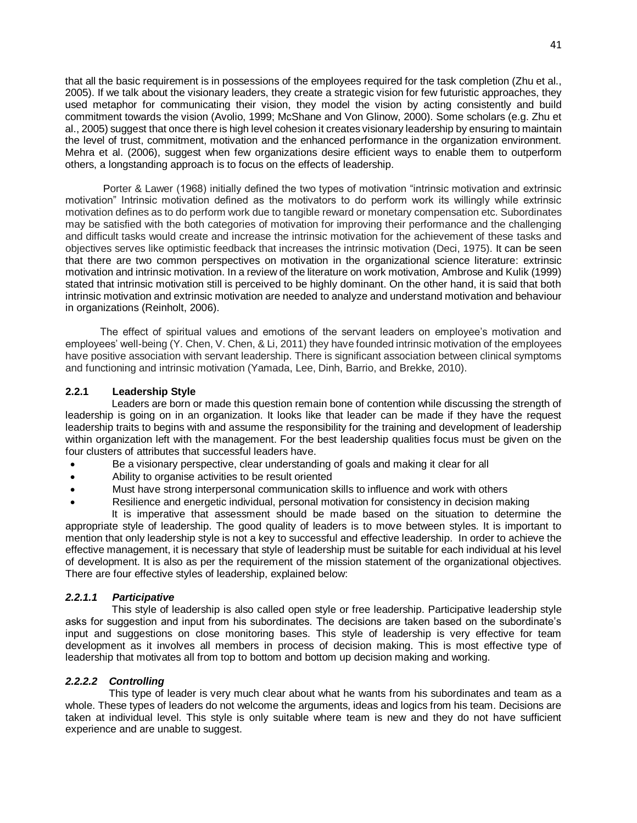that all the basic requirement is in possessions of the employees required for the task completion (Zhu et al., 2005). If we talk about the visionary leaders, they create a strategic vision for few futuristic approaches, they used metaphor for communicating their vision, they model the vision by acting consistently and build commitment towards the vision (Avolio, 1999; McShane and Von Glinow, 2000). Some scholars (e.g. Zhu et al., 2005) suggest that once there is high level cohesion it creates visionary leadership by ensuring to maintain the level of trust, commitment, motivation and the enhanced performance in the organization environment. Mehra et al. (2006), suggest when few organizations desire efficient ways to enable them to outperform others, a longstanding approach is to focus on the effects of leadership.

 Porter & Lawer (1968) initially defined the two types of motivation "intrinsic motivation and extrinsic motivation" Intrinsic motivation defined as the motivators to do perform work its willingly while extrinsic motivation defines as to do perform work due to tangible reward or monetary compensation etc. Subordinates may be satisfied with the both categories of motivation for improving their performance and the challenging and difficult tasks would create and increase the intrinsic motivation for the achievement of these tasks and objectives serves like optimistic feedback that increases the intrinsic motivation (Deci, 1975). It can be seen that there are two common perspectives on motivation in the organizational science literature: extrinsic motivation and intrinsic motivation. In a review of the literature on work motivation, Ambrose and Kulik (1999) stated that intrinsic motivation still is perceived to be highly dominant. On the other hand, it is said that both intrinsic motivation and extrinsic motivation are needed to analyze and understand motivation and behaviour in organizations (Reinholt, 2006).

 The effect of spiritual values and emotions of the servant leaders on employee's motivation and employees' well-being (Y. Chen, V. Chen, & Li, 2011) they have founded intrinsic motivation of the employees have positive association with servant leadership. There is significant association between clinical symptoms and functioning and intrinsic motivation (Yamada, Lee, Dinh, Barrio, and Brekke, 2010).

# **2.2.1 Leadership Style**

 Leaders are born or made this question remain bone of contention while discussing the strength of leadership is going on in an organization. It looks like that leader can be made if they have the request leadership traits to begins with and assume the responsibility for the training and development of leadership within organization left with the management. For the best leadership qualities focus must be given on the four clusters of attributes that successful leaders have.

- Be a visionary perspective, clear understanding of goals and making it clear for all
- Ability to organise activities to be result oriented
- Must have strong interpersonal communication skills to influence and work with others
- Resilience and energetic individual, personal motivation for consistency in decision making

 It is imperative that assessment should be made based on the situation to determine the appropriate style of leadership. The good quality of leaders is to move between styles. It is important to mention that only leadership style is not a key to successful and effective leadership. In order to achieve the effective management, it is necessary that style of leadership must be suitable for each individual at his level of development. It is also as per the requirement of the mission statement of the organizational objectives. There are four effective styles of leadership, explained below:

# *2.2.1.1 Participative*

 This style of leadership is also called open style or free leadership. Participative leadership style asks for suggestion and input from his subordinates. The decisions are taken based on the subordinate's input and suggestions on close monitoring bases. This style of leadership is very effective for team development as it involves all members in process of decision making. This is most effective type of leadership that motivates all from top to bottom and bottom up decision making and working.

# *2.2.2.2 Controlling*

 This type of leader is very much clear about what he wants from his subordinates and team as a whole. These types of leaders do not welcome the arguments, ideas and logics from his team. Decisions are taken at individual level. This style is only suitable where team is new and they do not have sufficient experience and are unable to suggest.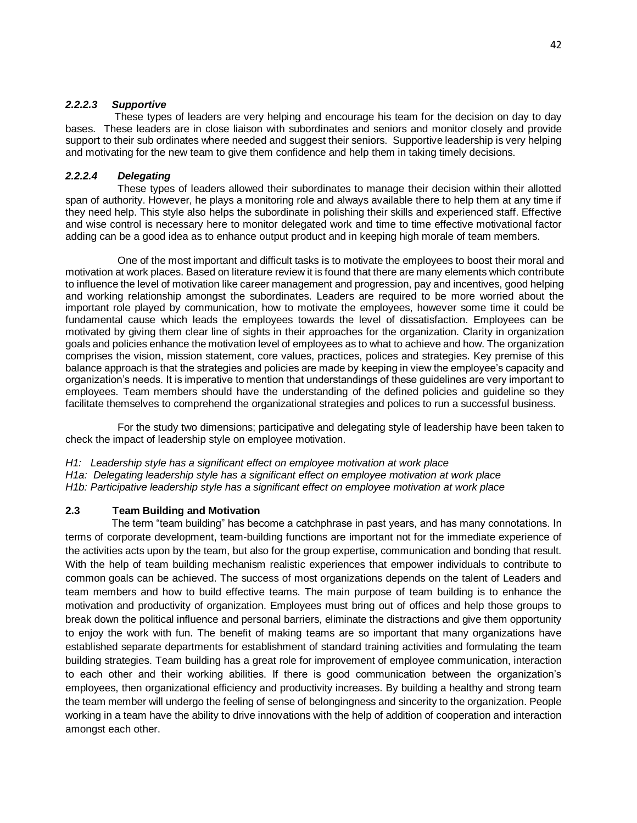## *2.2.2.3 Supportive*

 These types of leaders are very helping and encourage his team for the decision on day to day bases. These leaders are in close liaison with subordinates and seniors and monitor closely and provide support to their sub ordinates where needed and suggest their seniors. Supportive leadership is very helping and motivating for the new team to give them confidence and help them in taking timely decisions.

## *2.2.2.4 Delegating*

 These types of leaders allowed their subordinates to manage their decision within their allotted span of authority. However, he plays a monitoring role and always available there to help them at any time if they need help. This style also helps the subordinate in polishing their skills and experienced staff. Effective and wise control is necessary here to monitor delegated work and time to time effective motivational factor adding can be a good idea as to enhance output product and in keeping high morale of team members.

 One of the most important and difficult tasks is to motivate the employees to boost their moral and motivation at work places. Based on literature review it is found that there are many elements which contribute to influence the level of motivation like career management and progression, pay and incentives, good helping and working relationship amongst the subordinates. Leaders are required to be more worried about the important role played by communication, how to motivate the employees, however some time it could be fundamental cause which leads the employees towards the level of dissatisfaction. Employees can be motivated by giving them clear line of sights in their approaches for the organization. Clarity in organization goals and policies enhance the motivation level of employees as to what to achieve and how. The organization comprises the vision, mission statement, core values, practices, polices and strategies. Key premise of this balance approach is that the strategies and policies are made by keeping in view the employee's capacity and organization's needs. It is imperative to mention that understandings of these guidelines are very important to employees. Team members should have the understanding of the defined policies and guideline so they facilitate themselves to comprehend the organizational strategies and polices to run a successful business.

 For the study two dimensions; participative and delegating style of leadership have been taken to check the impact of leadership style on employee motivation.

*H1: Leadership style has a significant effect on employee motivation at work place*

*H1a: Delegating leadership style has a significant effect on employee motivation at work place H1b: Participative leadership style has a significant effect on employee motivation at work place*

# **2.3 Team Building and Motivation**

 The term "team building" has become a catchphrase in past years, and has many connotations. In terms of corporate development, team-building functions are important not for the immediate experience of the activities acts upon by the team, but also for the group expertise, communication and bonding that result. With the help of team building mechanism realistic experiences that empower individuals to contribute to common goals can be achieved. The success of most organizations depends on the talent of Leaders and team members and how to build effective teams. The main purpose of team building is to enhance the motivation and productivity of organization. Employees must bring out of offices and help those groups to break down the political influence and personal barriers, eliminate the distractions and give them opportunity to enjoy the work with fun. The benefit of making teams are so important that many organizations have established separate departments for establishment of standard training activities and formulating the team building strategies. Team building has a great role for improvement of employee communication, interaction to each other and their working abilities. If there is good communication between the organization's employees, then organizational efficiency and productivity increases. By building a healthy and strong team the team member will undergo the feeling of sense of belongingness and sincerity to the organization. People working in a team have the ability to drive innovations with the help of addition of cooperation and interaction amongst each other.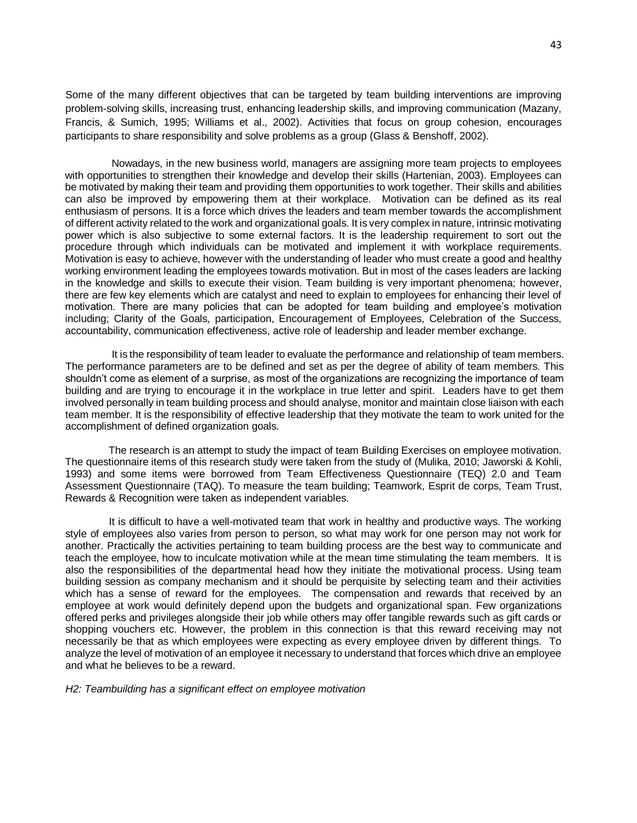Some of the many different objectives that can be targeted by team building interventions are improving problem-solving skills, increasing trust, enhancing leadership skills, and improving communication (Mazany, Francis, & Sumich, 1995; Williams et al., 2002). Activities that focus on group cohesion, encourages participants to share responsibility and solve problems as a group (Glass & Benshoff, 2002).

 Nowadays, in the new business world, managers are assigning more team projects to employees with opportunities to strengthen their knowledge and develop their skills (Hartenian, 2003). Employees can be motivated by making their team and providing them opportunities to work together. Their skills and abilities can also be improved by empowering them at their workplace. Motivation can be defined as its real enthusiasm of persons. It is a force which drives the leaders and team member towards the accomplishment of different activity related to the work and organizational goals. It is very complex in nature, intrinsic motivating power which is also subjective to some external factors. It is the leadership requirement to sort out the procedure through which individuals can be motivated and implement it with workplace requirements. Motivation is easy to achieve, however with the understanding of leader who must create a good and healthy working environment leading the employees towards motivation. But in most of the cases leaders are lacking in the knowledge and skills to execute their vision. Team building is very important phenomena; however, there are few key elements which are catalyst and need to explain to employees for enhancing their level of motivation. There are many policies that can be adopted for team building and employee's motivation including; Clarity of the Goals, participation, Encouragement of Employees, Celebration of the Success, accountability, communication effectiveness, active role of leadership and leader member exchange.

 It is the responsibility of team leader to evaluate the performance and relationship of team members. The performance parameters are to be defined and set as per the degree of ability of team members. This shouldn't come as element of a surprise, as most of the organizations are recognizing the importance of team building and are trying to encourage it in the workplace in true letter and spirit. Leaders have to get them involved personally in team building process and should analyse, monitor and maintain close liaison with each team member. It is the responsibility of effective leadership that they motivate the team to work united for the accomplishment of defined organization goals.

 The research is an attempt to study the impact of team Building Exercises on employee motivation. The questionnaire items of this research study were taken from the study of (Mulika, 2010; Jaworski & Kohli, 1993) and some items were borrowed from Team Effectiveness Questionnaire (TEQ) 2.0 and Team Assessment Questionnaire (TAQ). To measure the team building; Teamwork, Esprit de corps, Team Trust, Rewards & Recognition were taken as independent variables.

 It is difficult to have a well-motivated team that work in healthy and productive ways. The working style of employees also varies from person to person, so what may work for one person may not work for another. Practically the activities pertaining to team building process are the best way to communicate and teach the employee, how to inculcate motivation while at the mean time stimulating the team members. It is also the responsibilities of the departmental head how they initiate the motivational process. Using team building session as company mechanism and it should be perquisite by selecting team and their activities which has a sense of reward for the employees. The compensation and rewards that received by an employee at work would definitely depend upon the budgets and organizational span. Few organizations offered perks and privileges alongside their job while others may offer tangible rewards such as gift cards or shopping vouchers etc. However, the problem in this connection is that this reward receiving may not necessarily be that as which employees were expecting as every employee driven by different things. To analyze the level of motivation of an employee it necessary to understand that forces which drive an employee and what he believes to be a reward.

*H2: Teambuilding has a significant effect on employee motivation*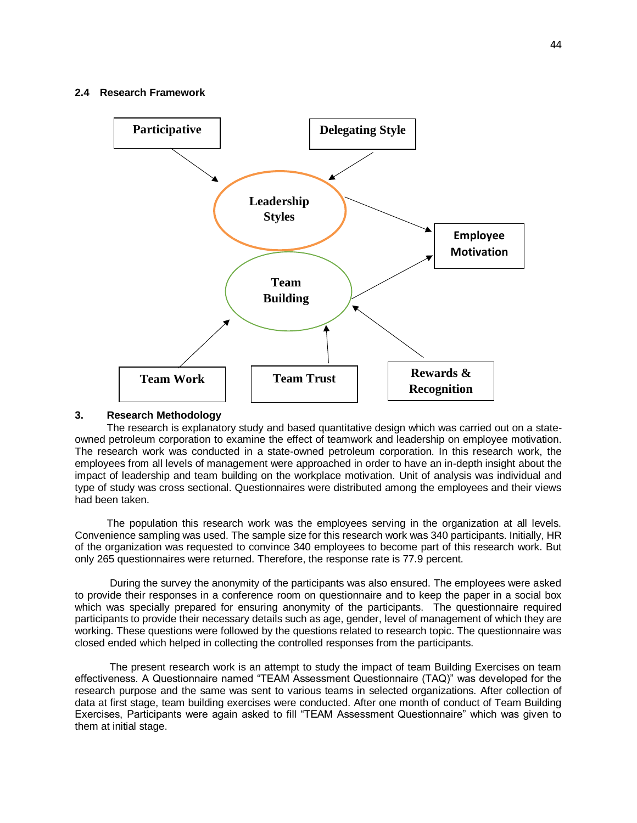#### **2.4 Research Framework**



## **3. Research Methodology**

 The research is explanatory study and based quantitative design which was carried out on a stateowned petroleum corporation to examine the effect of teamwork and leadership on employee motivation. The research work was conducted in a state-owned petroleum corporation. In this research work, the employees from all levels of management were approached in order to have an in-depth insight about the impact of leadership and team building on the workplace motivation. Unit of analysis was individual and type of study was cross sectional. Questionnaires were distributed among the employees and their views had been taken.

 The population this research work was the employees serving in the organization at all levels. Convenience sampling was used. The sample size for this research work was 340 participants. Initially, HR of the organization was requested to convince 340 employees to become part of this research work. But only 265 questionnaires were returned. Therefore, the response rate is 77.9 percent.

 During the survey the anonymity of the participants was also ensured. The employees were asked to provide their responses in a conference room on questionnaire and to keep the paper in a social box which was specially prepared for ensuring anonymity of the participants. The questionnaire required participants to provide their necessary details such as age, gender, level of management of which they are working. These questions were followed by the questions related to research topic. The questionnaire was closed ended which helped in collecting the controlled responses from the participants.

 The present research work is an attempt to study the impact of team Building Exercises on team effectiveness. A Questionnaire named "TEAM Assessment Questionnaire (TAQ)" was developed for the research purpose and the same was sent to various teams in selected organizations. After collection of data at first stage, team building exercises were conducted. After one month of conduct of Team Building Exercises, Participants were again asked to fill "TEAM Assessment Questionnaire" which was given to them at initial stage.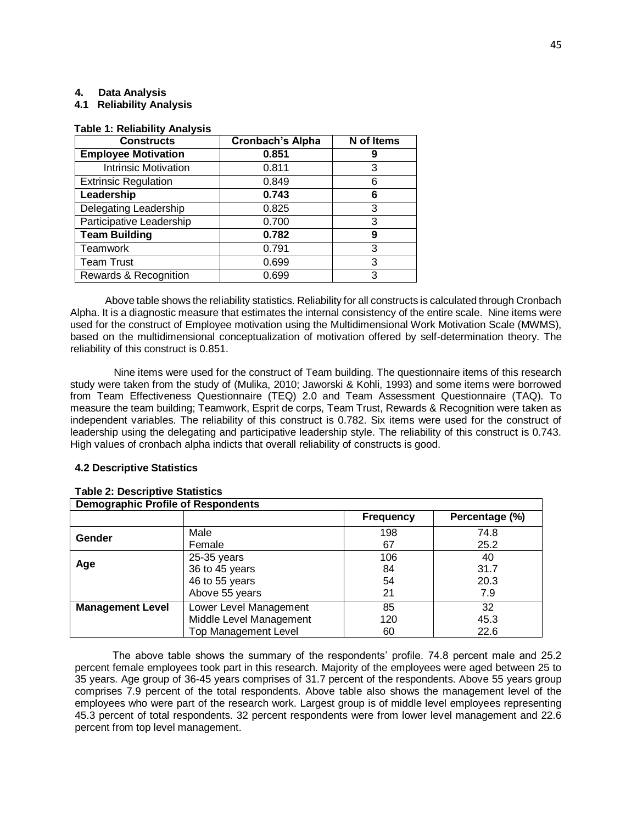## **4. Data Analysis**

## **4.1 Reliability Analysis**

| <b>Constructs</b>           | <b>Cronbach's Alpha</b> | N of Items |  |
|-----------------------------|-------------------------|------------|--|
| <b>Employee Motivation</b>  | 0.851                   | 9          |  |
| <b>Intrinsic Motivation</b> | 0.811                   | 3          |  |
| <b>Extrinsic Regulation</b> | 0.849                   | 6          |  |
| Leadership                  | 0.743                   | 6          |  |
| Delegating Leadership       | 0.825                   | 3          |  |
| Participative Leadership    | 0.700                   | 3          |  |
| <b>Team Building</b>        | 0.782                   | 9          |  |
| Teamwork                    | 0.791                   | 3          |  |
| <b>Team Trust</b>           | 0.699                   | 3          |  |
| Rewards & Recognition       | 0.699                   | 3          |  |

#### **Table 1: Reliability Analysis**

 Above table shows the reliability statistics. Reliability for all constructs is calculated through Cronbach Alpha. It is a diagnostic measure that estimates the internal consistency of the entire scale. Nine items were used for the construct of Employee motivation using the Multidimensional Work Motivation Scale (MWMS), based on the multidimensional conceptualization of motivation offered by self-determination theory. The reliability of this construct is 0.851.

 Nine items were used for the construct of Team building. The questionnaire items of this research study were taken from the study of (Mulika, 2010; Jaworski & Kohli, 1993) and some items were borrowed from Team Effectiveness Questionnaire (TEQ) 2.0 and Team Assessment Questionnaire (TAQ). To measure the team building; Teamwork, Esprit de corps, Team Trust, Rewards & Recognition were taken as independent variables. The reliability of this construct is 0.782. Six items were used for the construct of leadership using the delegating and participative leadership style. The reliability of this construct is 0.743. High values of cronbach alpha indicts that overall reliability of constructs is good.

# **4.2 Descriptive Statistics**

| <b>Demographic Profile of Respondents</b> |                             |                  |                |  |  |  |  |
|-------------------------------------------|-----------------------------|------------------|----------------|--|--|--|--|
|                                           |                             | <b>Frequency</b> | Percentage (%) |  |  |  |  |
| Gender                                    | Male                        | 198              | 74.8           |  |  |  |  |
|                                           | Female                      | 67               | 25.2           |  |  |  |  |
|                                           | 25-35 years                 | 106              | 40             |  |  |  |  |
| Age                                       | 36 to 45 years              | 84               | 31.7           |  |  |  |  |
|                                           | 46 to 55 years              | 54               | 20.3           |  |  |  |  |
|                                           | Above 55 years              | 21               | 7.9            |  |  |  |  |
| <b>Management Level</b>                   | Lower Level Management      | 85               | 32             |  |  |  |  |
|                                           | Middle Level Management     | 120              | 45.3           |  |  |  |  |
|                                           | <b>Top Management Level</b> | 60               | 22.6           |  |  |  |  |

# **Table 2: Descriptive Statistics**

 The above table shows the summary of the respondents' profile. 74.8 percent male and 25.2 percent female employees took part in this research. Majority of the employees were aged between 25 to 35 years. Age group of 36-45 years comprises of 31.7 percent of the respondents. Above 55 years group comprises 7.9 percent of the total respondents. Above table also shows the management level of the employees who were part of the research work. Largest group is of middle level employees representing 45.3 percent of total respondents. 32 percent respondents were from lower level management and 22.6 percent from top level management.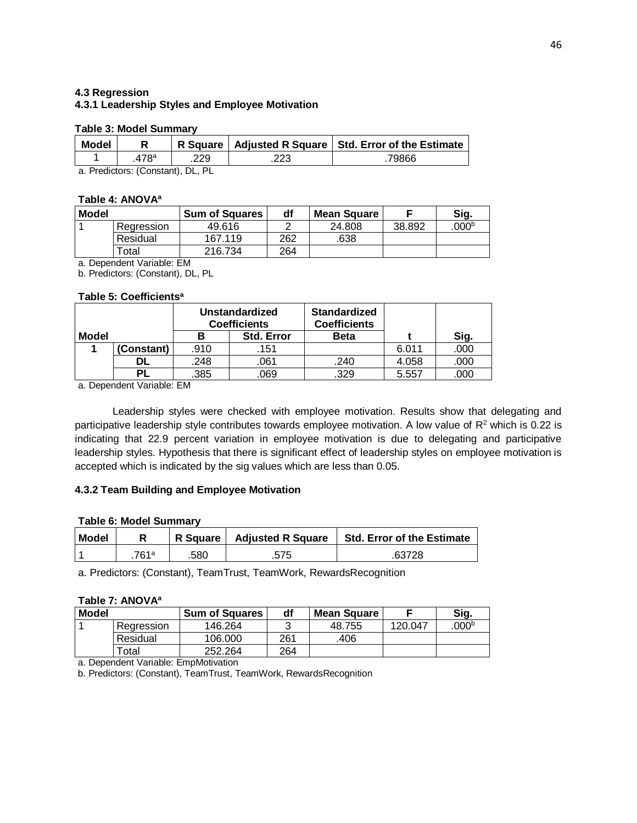## **4.3 Regression**

## **4.3.1 Leadership Styles and Employee Motivation**

#### **Table 3: Model Summary**

| <b>Model</b> |      |     | R Square   Adjusted R Square   Std. Error of the Estimate |
|--------------|------|-----|-----------------------------------------------------------|
|              | 478a | 229 | 79866                                                     |

a. Predictors: (Constant), DL, PL

#### **Table 4: ANOVA<sup>a</sup>**

| Model |            | <b>Sum of Squares</b> | df  | <b>Mean Square</b> |        | Sig.              |
|-------|------------|-----------------------|-----|--------------------|--------|-------------------|
|       | Regression | 49.616                |     | 24.808             | 38.892 | .000 <sup>b</sup> |
|       | Residual   | 167.119               | 262 | .638               |        |                   |
|       | Total      | 216.734               | 264 |                    |        |                   |

a. Dependent Variable: EM

b. Predictors: (Constant), DL, PL

## **Table 5: Coefficients<sup>a</sup>**

|       |            | <b>Unstandardized</b><br><b>Coefficients</b> |                   | <b>Standardized</b><br><b>Coefficients</b> |       |      |
|-------|------------|----------------------------------------------|-------------------|--------------------------------------------|-------|------|
| Model |            | В                                            | <b>Std. Error</b> | <b>Beta</b>                                |       | Sig. |
|       | (Constant) | .910                                         | .151              |                                            | 6.011 | .000 |
|       | DL         | .248                                         | .061              | .240                                       | 4.058 | .000 |
|       | РL         | .385                                         | 069               | 329                                        | 5.557 | 00C  |

a. Dependent Variable: EM

 Leadership styles were checked with employee motivation. Results show that delegating and participative leadership style contributes towards employee motivation. A low value of  $R^2$  which is 0.22 is indicating that 22.9 percent variation in employee motivation is due to delegating and participative leadership styles. Hypothesis that there is significant effect of leadership styles on employee motivation is accepted which is indicated by the sig values which are less than 0.05.

# **4.3.2 Team Building and Employee Motivation**

## **Table 6: Model Summary**

| <b>Model</b> |      | R Square | <b>Adjusted R Square</b> | <b>Std. Error of the Estimate</b> |
|--------------|------|----------|--------------------------|-----------------------------------|
|              | 7G1a | 580      |                          |                                   |

a. Predictors: (Constant), TeamTrust, TeamWork, RewardsRecognition

# **Table 7: ANOVA<sup>a</sup>**

| Model |            | <b>Sum of Squares</b> | df  | Mean Square |         | Sig.             |
|-------|------------|-----------------------|-----|-------------|---------|------------------|
|       | Rearession | 146.264               |     | 48.755      | 120.047 | 000 <sup>b</sup> |
|       | Residual   | 106,000               | 261 | .406        |         |                  |
|       | ™otal      | 252,264               | 264 |             |         |                  |

a. Dependent Variable: EmpMotivation

b. Predictors: (Constant), TeamTrust, TeamWork, RewardsRecognition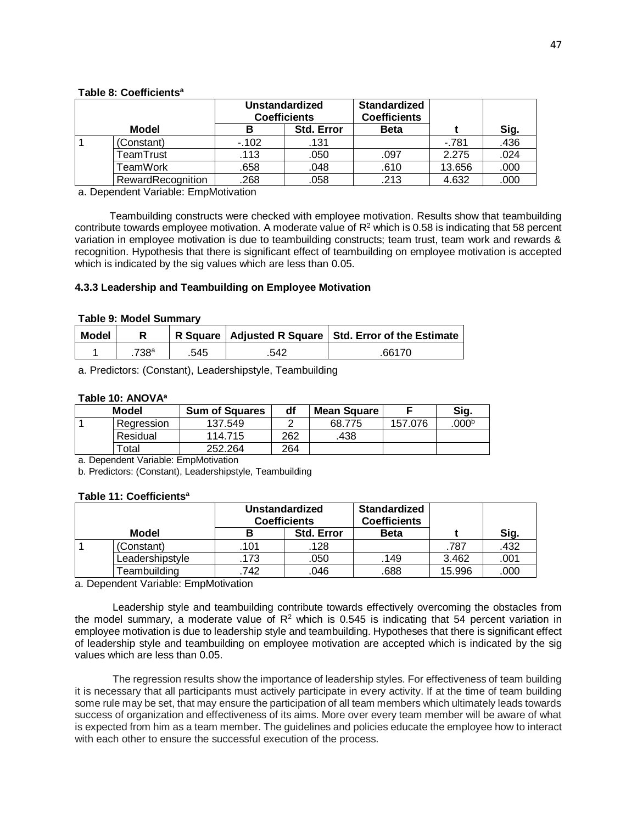## **Table 8: Coefficients<sup>a</sup>**

|                   | <b>Unstandardized</b><br><b>Coefficients</b> |                   | <b>Standardized</b><br><b>Coefficients</b> |        |      |
|-------------------|----------------------------------------------|-------------------|--------------------------------------------|--------|------|
| Model             |                                              | <b>Std. Error</b> | <b>Beta</b>                                |        | Sig. |
| Constant)         | $-102$                                       | .131              |                                            | $-781$ | .436 |
| TeamTrust         | .113                                         | .050              | .097                                       | 2.275  | .024 |
| TeamWork          | .658                                         | .048              | .610                                       | 13.656 | .000 |
| RewardRecognition | .268                                         | .058              | .213                                       | 4.632  | .000 |

a. Dependent Variable: EmpMotivation

 Teambuilding constructs were checked with employee motivation. Results show that teambuilding contribute towards employee motivation. A moderate value of  $R<sup>2</sup>$  which is 0.58 is indicating that 58 percent variation in employee motivation is due to teambuilding constructs; team trust, team work and rewards & recognition. Hypothesis that there is significant effect of teambuilding on employee motivation is accepted which is indicated by the sig values which are less than 0.05.

## **4.3.3 Leadership and Teambuilding on Employee Motivation**

#### **Table 9: Model Summary**

| Model |      |      |      | R Square   Adjusted R Square   Std. Error of the Estimate |
|-------|------|------|------|-----------------------------------------------------------|
|       | 738ª | .545 | .542 | 66170                                                     |

a. Predictors: (Constant), Leadershipstyle, Teambuilding

#### **Table 10: ANOVA<sup>a</sup>**

| Model      | <b>Sum of Squares</b> | df  | <b>Mean Square</b> |         | Sig.             |
|------------|-----------------------|-----|--------------------|---------|------------------|
| Regression | 137.549               |     | 68.775             | 157.076 | 000 <sup>b</sup> |
| Residual   | 114.715               | 262 | .438               |         |                  |
| Total      | 252.264               | 264 |                    |         |                  |

a. Dependent Variable: EmpMotivation

b. Predictors: (Constant), Leadershipstyle, Teambuilding

#### **Table 11: Coefficients<sup>a</sup>**

|       |                 | Unstandardized<br><b>Coefficients</b> |                   | <b>Standardized</b><br><b>Coefficients</b> |        |      |
|-------|-----------------|---------------------------------------|-------------------|--------------------------------------------|--------|------|
| Model |                 | В                                     | <b>Std. Error</b> | <b>Beta</b>                                |        | Sig. |
|       | Constant)       | .101                                  | 128               |                                            | .787   | .432 |
|       | Leadershipstyle | .173                                  | .050              | .149                                       | 3.462  | .001 |
|       | Teambuilding    | 742                                   | .046              | .688                                       | 15.996 | .000 |

a. Dependent Variable: EmpMotivation

 Leadership style and teambuilding contribute towards effectively overcoming the obstacles from the model summary, a moderate value of  $R<sup>2</sup>$  which is 0.545 is indicating that 54 percent variation in employee motivation is due to leadership style and teambuilding. Hypotheses that there is significant effect of leadership style and teambuilding on employee motivation are accepted which is indicated by the sig values which are less than 0.05.

 The regression results show the importance of leadership styles. For effectiveness of team building it is necessary that all participants must actively participate in every activity. If at the time of team building some rule may be set, that may ensure the participation of all team members which ultimately leads towards success of organization and effectiveness of its aims. More over every team member will be aware of what is expected from him as a team member. The guidelines and policies educate the employee how to interact with each other to ensure the successful execution of the process.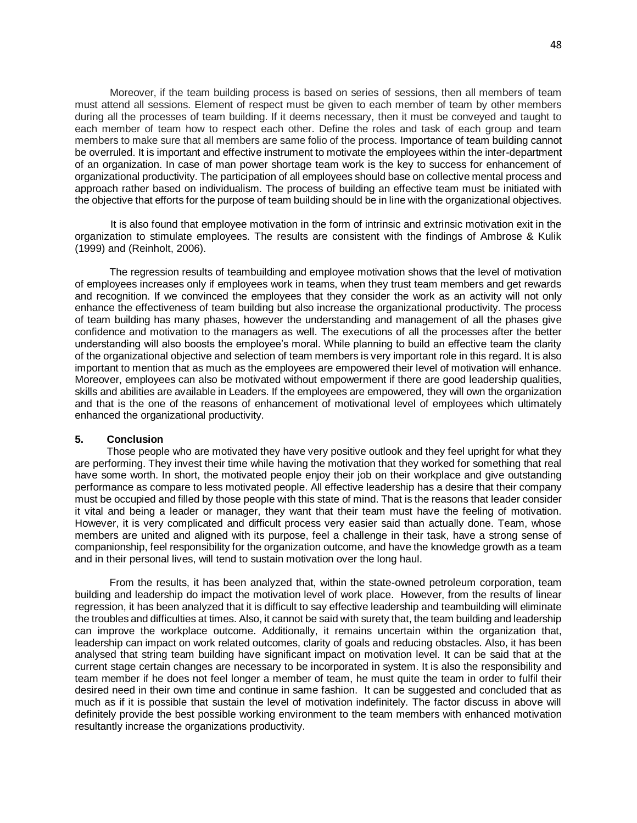Moreover, if the team building process is based on series of sessions, then all members of team must attend all sessions. Element of respect must be given to each member of team by other members during all the processes of team building. If it deems necessary, then it must be conveyed and taught to each member of team how to respect each other. Define the roles and task of each group and team members to make sure that all members are same folio of the process. Importance of team building cannot be overruled. It is important and effective instrument to motivate the employees within the inter-department of an organization. In case of man power shortage team work is the key to success for enhancement of organizational productivity. The participation of all employees should base on collective mental process and approach rather based on individualism. The process of building an effective team must be initiated with the objective that efforts for the purpose of team building should be in line with the organizational objectives.

 It is also found that employee motivation in the form of intrinsic and extrinsic motivation exit in the organization to stimulate employees. The results are consistent with the findings of Ambrose & Kulik (1999) and (Reinholt, 2006).

 The regression results of teambuilding and employee motivation shows that the level of motivation of employees increases only if employees work in teams, when they trust team members and get rewards and recognition. If we convinced the employees that they consider the work as an activity will not only enhance the effectiveness of team building but also increase the organizational productivity. The process of team building has many phases, however the understanding and management of all the phases give confidence and motivation to the managers as well. The executions of all the processes after the better understanding will also boosts the employee's moral. While planning to build an effective team the clarity of the organizational objective and selection of team members is very important role in this regard. It is also important to mention that as much as the employees are empowered their level of motivation will enhance. Moreover, employees can also be motivated without empowerment if there are good leadership qualities, skills and abilities are available in Leaders. If the employees are empowered, they will own the organization and that is the one of the reasons of enhancement of motivational level of employees which ultimately enhanced the organizational productivity.

#### **5. Conclusion**

 Those people who are motivated they have very positive outlook and they feel upright for what they are performing. They invest their time while having the motivation that they worked for something that real have some worth. In short, the motivated people enjoy their job on their workplace and give outstanding performance as compare to less motivated people. All effective leadership has a desire that their company must be occupied and filled by those people with this state of mind. That is the reasons that leader consider it vital and being a leader or manager, they want that their team must have the feeling of motivation. However, it is very complicated and difficult process very easier said than actually done. Team, whose members are united and aligned with its purpose, feel a challenge in their task, have a strong sense of companionship, feel responsibility for the organization outcome, and have the knowledge growth as a team and in their personal lives, will tend to sustain motivation over the long haul.

 From the results, it has been analyzed that, within the state-owned petroleum corporation, team building and leadership do impact the motivation level of work place. However, from the results of linear regression, it has been analyzed that it is difficult to say effective leadership and teambuilding will eliminate the troubles and difficulties at times. Also, it cannot be said with surety that, the team building and leadership can improve the workplace outcome. Additionally, it remains uncertain within the organization that, leadership can impact on work related outcomes, clarity of goals and reducing obstacles. Also, it has been analysed that string team building have significant impact on motivation level. It can be said that at the current stage certain changes are necessary to be incorporated in system. It is also the responsibility and team member if he does not feel longer a member of team, he must quite the team in order to fulfil their desired need in their own time and continue in same fashion. It can be suggested and concluded that as much as if it is possible that sustain the level of motivation indefinitely. The factor discuss in above will definitely provide the best possible working environment to the team members with enhanced motivation resultantly increase the organizations productivity.